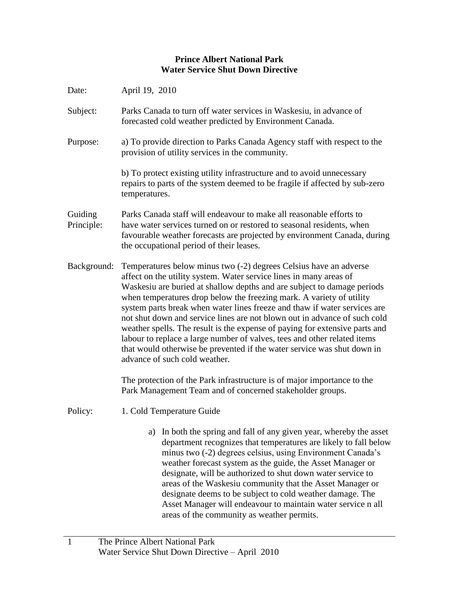## **Prince Albert National Park Water Service Shut Down Directive**

| Date:                 | April 19, 2010                                                                                                                                                                                                                                                                                                                                                                                                                                                                                                                                                                                                                                                                                                              |
|-----------------------|-----------------------------------------------------------------------------------------------------------------------------------------------------------------------------------------------------------------------------------------------------------------------------------------------------------------------------------------------------------------------------------------------------------------------------------------------------------------------------------------------------------------------------------------------------------------------------------------------------------------------------------------------------------------------------------------------------------------------------|
| Subject:              | Parks Canada to turn off water services in Waskesiu, in advance of<br>forecasted cold weather predicted by Environment Canada.                                                                                                                                                                                                                                                                                                                                                                                                                                                                                                                                                                                              |
| Purpose:              | a) To provide direction to Parks Canada Agency staff with respect to the<br>provision of utility services in the community.                                                                                                                                                                                                                                                                                                                                                                                                                                                                                                                                                                                                 |
|                       | b) To protect existing utility infrastructure and to avoid unnecessary<br>repairs to parts of the system deemed to be fragile if affected by sub-zero<br>temperatures.                                                                                                                                                                                                                                                                                                                                                                                                                                                                                                                                                      |
| Guiding<br>Principle: | Parks Canada staff will endeavour to make all reasonable efforts to<br>have water services turned on or restored to seasonal residents, when<br>favourable weather forecasts are projected by environment Canada, during<br>the occupational period of their leases.                                                                                                                                                                                                                                                                                                                                                                                                                                                        |
| Background:           | Temperatures below minus two (-2) degrees Celsius have an adverse<br>affect on the utility system. Water service lines in many areas of<br>Waskesiu are buried at shallow depths and are subject to damage periods<br>when temperatures drop below the freezing mark. A variety of utility<br>system parts break when water lines freeze and thaw if water services are<br>not shut down and service lines are not blown out in advance of such cold<br>weather spells. The result is the expense of paying for extensive parts and<br>labour to replace a large number of valves, tees and other related items<br>that would otherwise be prevented if the water service was shut down in<br>advance of such cold weather. |
|                       | The protection of the Park infrastructure is of major importance to the<br>Park Management Team and of concerned stakeholder groups.                                                                                                                                                                                                                                                                                                                                                                                                                                                                                                                                                                                        |
| Policy:               | 1. Cold Temperature Guide                                                                                                                                                                                                                                                                                                                                                                                                                                                                                                                                                                                                                                                                                                   |
|                       | a) In both the spring and fall of any given year, whereby the asset<br>department recognizes that temperatures are likely to fall below<br>minus two (-2) degrees celsius, using Environment Canada's<br>weather forecast system as the guide, the Asset Manager or<br>designate, will be authorized to shut down water service to<br>areas of the Waskesiu community that the Asset Manager or<br>designate deems to be subject to cold weather damage. The<br>Asset Manager will endeavour to maintain water service n all<br>areas of the community as weather permits.                                                                                                                                                  |